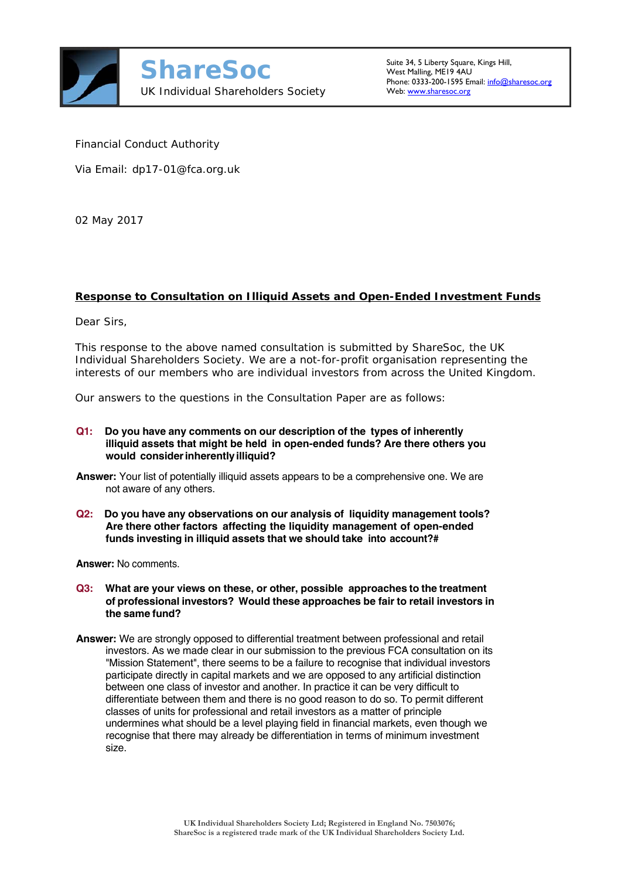

Financial Conduct Authority

Via Email: dp17-01@fca.org.uk

02 May 2017

# **Response to Consultation on Illiquid Assets and Open-Ended Investment Funds**

Dear Sirs,

This response to the above named consultation is submitted by ShareSoc, the UK Individual Shareholders Society. We are a not-for-profit organisation representing the interests of our members who are individual investors from across the United Kingdom.

Our answers to the questions in the Consultation Paper are as follows:

- **Q1: Do you have any comments on our description of the types of inherently illiquid assets that might be held in open-ended funds? Are there others you would consider inherently illiquid?**
- **Answer:** Your list of potentially illiquid assets appears to be a comprehensive one. We are not aware of any others.
- **Q2: Do you have any observations on our analysis of liquidity management tools? Are there other factors affecting the liquidity management of open-ended funds investing in illiquid assets that we should take into account?#**

**Answer:** No comments.

- **Q3: What are your views on these, or other, possible approaches to the treatment of professional investors? Would these approaches be fair to retail investors in the same fund?**
- **Answer:** We are strongly opposed to differential treatment between professional and retail investors. As we made clear in our submission to the previous FCA consultation on its "Mission Statement", there seems to be a failure to recognise that individual investors participate directly in capital markets and we are opposed to any artificial distinction between one class of investor and another. In practice it can be very difficult to differentiate between them and there is no good reason to do so. To permit different classes of units for professional and retail investors as a matter of principle undermines what should be a level playing field in financial markets, even though we recognise that there may already be differentiation in terms of minimum investment size.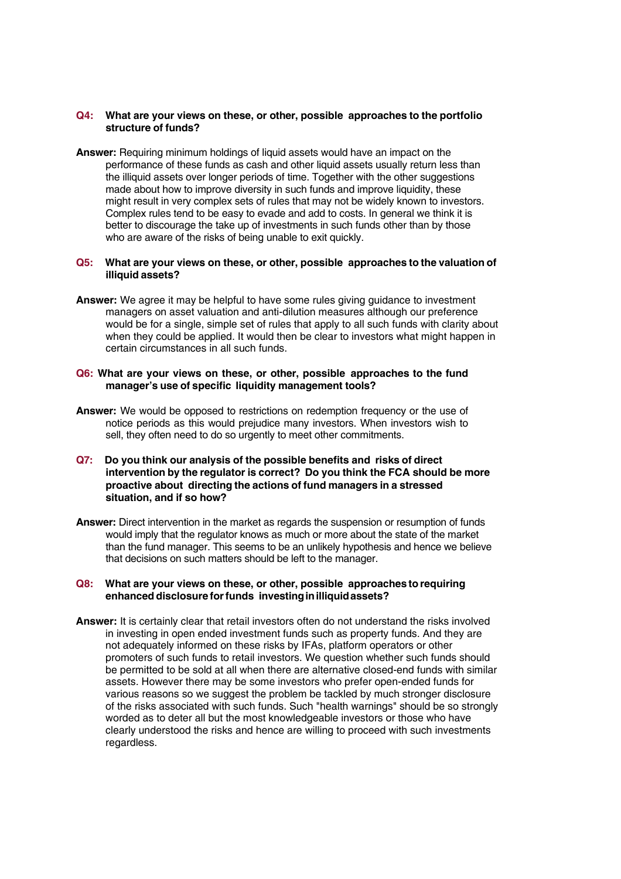### **Q4: What are your views on these, or other, possible approaches to the portfolio structure of funds?**

**Answer:** Requiring minimum holdings of liquid assets would have an impact on the performance of these funds as cash and other liquid assets usually return less than the illiquid assets over longer periods of time. Together with the other suggestions made about how to improve diversity in such funds and improve liquidity, these might result in very complex sets of rules that may not be widely known to investors. Complex rules tend to be easy to evade and add to costs. In general we think it is better to discourage the take up of investments in such funds other than by those who are aware of the risks of being unable to exit quickly.

#### **Q5: What are your views on these, or other, possible approaches to the valuation of illiquid assets?**

**Answer:** We agree it may be helpful to have some rules giving guidance to investment managers on asset valuation and anti-dilution measures although our preference would be for a single, simple set of rules that apply to all such funds with clarity about when they could be applied. It would then be clear to investors what might happen in certain circumstances in all such funds.

## **Q6: What are your views on these, or other, possible approaches to the fund manager's use of specific liquidity management tools?**

- **Answer:** We would be opposed to restrictions on redemption frequency or the use of notice periods as this would prejudice many investors. When investors wish to sell, they often need to do so urgently to meet other commitments.
- **Q7: Do you think our analysis of the possible benefits and risks of direct intervention by the regulator is correct? Do you think the FCA should be more proactive about directing the actions of fund managers in a stressed situation, and if so how?**
- **Answer:** Direct intervention in the market as regards the suspension or resumption of funds would imply that the regulator knows as much or more about the state of the market than the fund manager. This seems to be an unlikely hypothesis and hence we believe that decisions on such matters should be left to the manager.

### **Q8: What are your views on these, or other, possible approaches to requiring enhanced disclosure for funds investing in illiquid assets?**

**Answer:** It is certainly clear that retail investors often do not understand the risks involved in investing in open ended investment funds such as property funds. And they are not adequately informed on these risks by IFAs, platform operators or other promoters of such funds to retail investors. We question whether such funds should be permitted to be sold at all when there are alternative closed-end funds with similar assets. However there may be some investors who prefer open-ended funds for various reasons so we suggest the problem be tackled by much stronger disclosure of the risks associated with such funds. Such "health warnings" should be so strongly worded as to deter all but the most knowledgeable investors or those who have clearly understood the risks and hence are willing to proceed with such investments regardless.